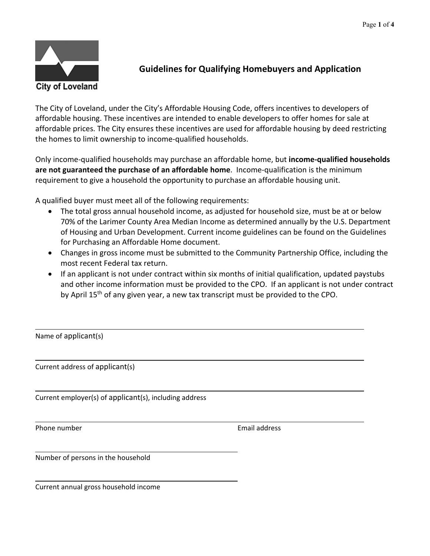

## **Guidelines for Qualifying Homebuyers and Application**

The City of Loveland, under the City's Affordable Housing Code, offers incentives to developers of affordable housing. These incentives are intended to enable developers to offer homes for sale at affordable prices. The City ensures these incentives are used for affordable housing by deed restricting the homes to limit ownership to income‐qualified households.

Only income‐qualified households may purchase an affordable home, but **income‐qualified households are not guaranteed the purchase of an affordable home**. Income‐qualification is the minimum requirement to give a household the opportunity to purchase an affordable housing unit.

A qualified buyer must meet all of the following requirements:

- The total gross annual household income, as adjusted for household size, must be at or below 70% of the Larimer County Area Median Income as determined annually by the U.S. Department of Housing and Urban Development. Current income guidelines can be found on the Guidelines for Purchasing an Affordable Home document.
- Changes in gross income must be submitted to the Community Partnership Office, including the most recent Federal tax return.
- If an applicant is not under contract within six months of initial qualification, updated paystubs and other income information must be provided to the CPO. If an applicant is not under contract by April 15<sup>th</sup> of any given year, a new tax transcript must be provided to the CPO.

<u> 1989 - Andrea Branden, amerikan basar basa dan berasal dan berasal dalam basa dalam basa dalam basa dalam ba</u>

<u> 1989 - Andrea Branden, amerikan basar basa dan berasal dan berasal dalam basa dalam basa dalam basa dalam ba</u>

<u> 1989 - Andrea Branden, amerikan basar basa dan berasal dan berasal dalam basa dalam basa dalam basa dalam ba</u>

<u> 1980 - Andrea Barbara, amerikana amerikana amerikana amerikana amerikana amerikana amerikana amerikana amerik</u>

Name of applicant(s)

Current address of applicant(s)

Current employer(s) of applicant(s), including address

<u> 1989 - Johann Barn, mars ann an t-Amhain Aonaich an t-Aonaich an t-Aonaich ann an t-Aonaich ann an t-Aonaich</u>

<u> 1980 - Johann Barn, mars an t-Amerikaansk politiker (</u>

Phone number **Burne and September 2008** The September **Email address** 

Number of persons in the household

Current annual gross household income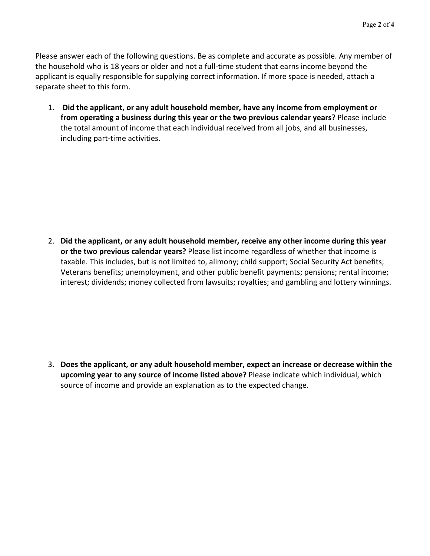Please answer each of the following questions. Be as complete and accurate as possible. Any member of the household who is 18 years or older and not a full‐time student that earns income beyond the applicant is equally responsible for supplying correct information. If more space is needed, attach a separate sheet to this form.

1. **Did the applicant, or any adult household member, have any income from employment or from operating a business during this year or the two previous calendar years?** Please include the total amount of income that each individual received from all jobs, and all businesses, including part‐time activities.

2. **Did the applicant, or any adult household member, receive any other income during this year or the two previous calendar years?** Please list income regardless of whether that income is taxable. This includes, but is not limited to, alimony; child support; Social Security Act benefits; Veterans benefits; unemployment, and other public benefit payments; pensions; rental income; interest; dividends; money collected from lawsuits; royalties; and gambling and lottery winnings.

3. **Does the applicant, or any adult household member, expect an increase or decrease within the upcoming year to any source of income listed above?** Please indicate which individual, which source of income and provide an explanation as to the expected change.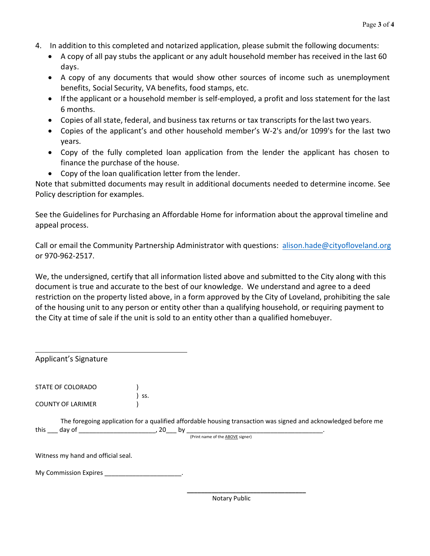- 4. In addition to this completed and notarized application, please submit the following documents:
	- A copy of all pay stubs the applicant or any adult household member has received in the last 60 days.
	- A copy of any documents that would show other sources of income such as unemployment benefits, Social Security, VA benefits, food stamps, etc.
	- If the applicant or a household member is self-employed, a profit and loss statement for the last 6 months.
	- Copies of all state, federal, and business tax returns or tax transcripts forthe last two years.
	- Copies of the applicant's and other household member's W‐2's and/or 1099's for the last two years.
	- Copy of the fully completed loan application from the lender the applicant has chosen to finance the purchase of the house.
	- Copy of the loan qualification letter from the lender.

Note that submitted documents may result in additional documents needed to determine income. See Policy description for examples.

See the Guidelines for Purchasing an Affordable Home for information about the approval timeline and appeal process.

Call or email the Community Partnership Administrator with questions: alison.hade@cityofloveland.org or 970‐962‐2517.

We, the undersigned, certify that all information listed above and submitted to the City along with this document is true and accurate to the best of our knowledge. We understand and agree to a deed restriction on the property listed above, in a form approved by the City of Loveland, prohibiting the sale of the housing unit to any person or entity other than a qualifying household, or requiring payment to the City at time of sale if the unit is sold to an entity other than a qualified homebuyer.

| Applicant's Signature                                                                                          |     |                                  |  |  |
|----------------------------------------------------------------------------------------------------------------|-----|----------------------------------|--|--|
|                                                                                                                |     |                                  |  |  |
| STATE OF COLORADO                                                                                              |     |                                  |  |  |
|                                                                                                                | SS. |                                  |  |  |
| <b>COUNTY OF LARIMER</b>                                                                                       |     |                                  |  |  |
|                                                                                                                |     |                                  |  |  |
| The foregoing application for a qualified affordable housing transaction was signed and acknowledged before me |     |                                  |  |  |
| this $\qquad$ day of $\qquad \qquad$ , 20 by                                                                   |     |                                  |  |  |
|                                                                                                                |     | (Print name of the ABOVE signer) |  |  |
| Witness my hand and official seal.                                                                             |     |                                  |  |  |
|                                                                                                                |     |                                  |  |  |
|                                                                                                                |     |                                  |  |  |
|                                                                                                                |     | Notary Public                    |  |  |